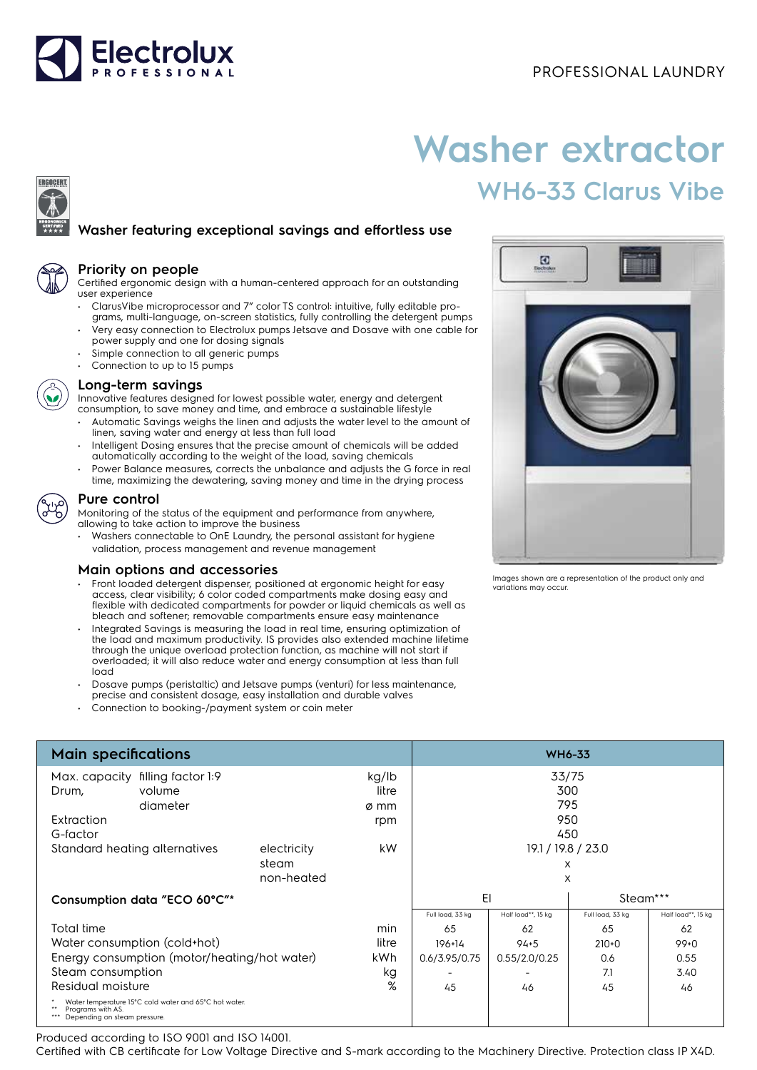

# **Washer extractor WH6-33 Clarus Vibe**

# **Washer featuring exceptional savings and effortless use**



ERGOCERT

#### **Priority on people**

Certified ergonomic design with a human-centered approach for an outstanding user experience

- ClarusVibe microprocessor and 7" color TS control: intuitive, fully editable programs, multi-language, on-screen statistics, fully controlling the detergent pumps • Very easy connection to Electrolux pumps Jetsave and Dosave with one cable for
- power supply and one for dosing signals
- Simple connection to all generic pumps
- Connection to up to 15 pumps



# **Long-term savings**

Innovative features designed for lowest possible water, energy and detergent consumption, to save money and time, and embrace a sustainable lifestyle

- Automatic Savings weighs the linen and adjusts the water level to the amount of linen, saving water and energy at less than full load
- Intelligent Dosing ensures that the precise amount of chemicals will be added automatically according to the weight of the load, saving chemicals
- Power Balance measures, corrects the unbalance and adjusts the G force in real time, maximizing the dewatering, saving money and time in the drying process



## **Pure control**

Monitoring of the status of the equipment and performance from anywhere, allowing to take action to improve the business

• Washers connectable to OnE Laundry, the personal assistant for hygiene validation, process management and revenue management

## **Main options and accessories**

- Front loaded detergent dispenser, positioned at ergonomic height for easy access, clear visibility; 6 color coded compartments make dosing easy and flexible with dedicated compartments for powder or liquid chemicals as well as bleach and softener; removable compartments ensure easy maintenance
- Integrated Savings is measuring the load in real time, ensuring optimization of the load and maximum productivity. IS provides also extended machine lifetime through the unique overload protection function, as machine will not start if overloaded; it will also reduce water and energy consumption at less than full load
- Dosave pumps (peristaltic) and Jetsave pumps (venturi) for less maintenance, precise and consistent dosage, easy installation and durable valves
- Connection to booking-/payment system or coin meter

| Ø<br>Electrolux |  |  |
|-----------------|--|--|
|                 |  |  |
|                 |  |  |
| ٥               |  |  |
|                 |  |  |

Images shown are a representation of the product only and variations may occur.

| <b>Main specifications</b>                                                                                 |                               |                      |                | <b>WH6-33</b>            |                         |                  |                    |
|------------------------------------------------------------------------------------------------------------|-------------------------------|----------------------|----------------|--------------------------|-------------------------|------------------|--------------------|
| Max. capacity                                                                                              | filling factor 1:9            |                      | kg/lb          |                          | 33/75                   |                  |                    |
| Drum,                                                                                                      | volume                        |                      | litre          |                          | 300                     |                  |                    |
|                                                                                                            | diameter                      |                      | ø mm           |                          | 795                     |                  |                    |
| Extraction                                                                                                 |                               |                      | rpm            |                          | 950                     |                  |                    |
| G-factor                                                                                                   |                               |                      |                |                          | 450                     |                  |                    |
|                                                                                                            | Standard heating alternatives | electricity<br>steam | kW             |                          | 19.1 / 19.8 / 23.0<br>X |                  |                    |
|                                                                                                            |                               | non-heated           |                |                          | X                       |                  |                    |
| Consumption data "ECO 60°C"*                                                                               |                               |                      | EI<br>Steam*** |                          |                         |                  |                    |
|                                                                                                            |                               |                      |                | Full load, 33 kg         | Half load**, 15 kg      | Full load, 33 kg | Half load**, 15 kg |
| Total time                                                                                                 |                               |                      | min            | 65                       | 62                      | 65               | 62                 |
| Water consumption (cold+hot)<br>litre                                                                      |                               |                      | 196+14         | $94 + 5$                 | $210+0$                 | $99+0$           |                    |
| Energy consumption (motor/heating/hot water)<br>kWh                                                        |                               |                      | 0.6/3.95/0.75  | 0.55/2.0/0.25            | 0.6                     | 0.55             |                    |
| Steam consumption                                                                                          |                               |                      | kg             | $\overline{\phantom{0}}$ |                         | 7.1              | 3.40               |
| Residual moisture                                                                                          |                               |                      | %              | 45                       | 46                      | 45               | 46                 |
| Water temperature 15°C cold water and 65°C hot water.<br>Programs with AS.<br>Depending on steam pressure. |                               |                      |                |                          |                         |                  |                    |

Produced according to ISO 9001 and ISO 14001.

Certified with CB certificate for Low Voltage Directive and S-mark according to the Machinery Directive. Protection class IP X4D.